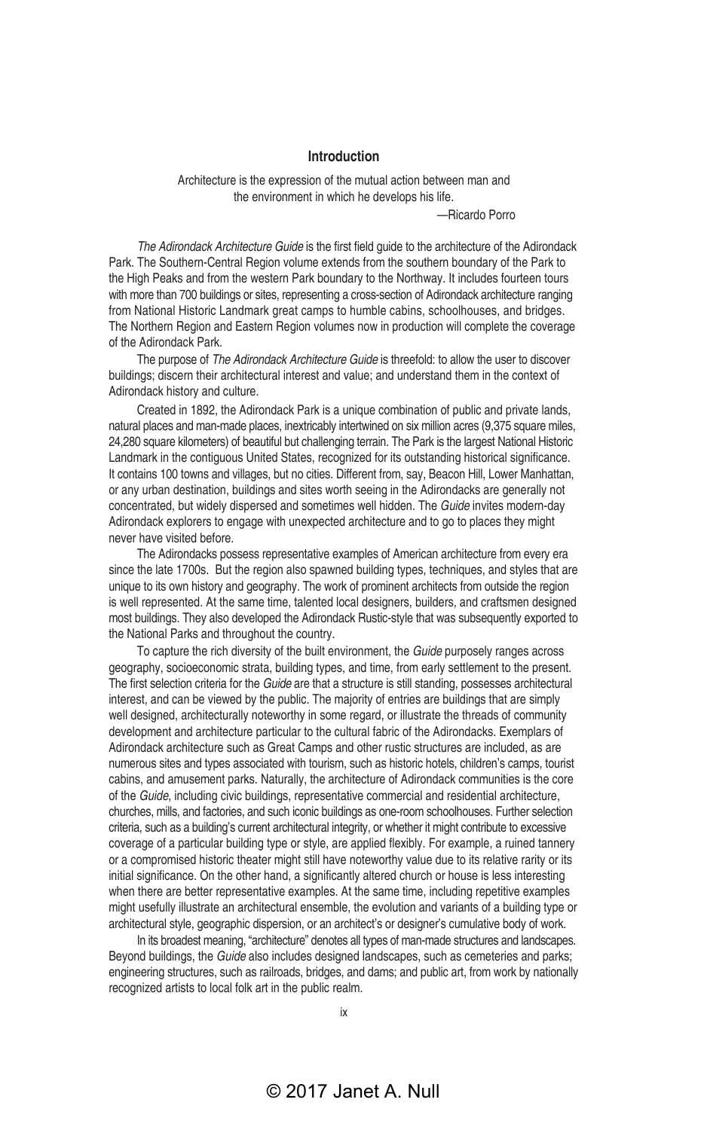## **Introduction**

Architecture is the expression of the mutual action between man and the environment in which he develops his life.

—Ricardo Porro

*The Adirondack Architecture Guide* is the first field guide to the architecture of the Adirondack Park. The Southern-Central Region volume extends from the southern boundary of the Park to the High Peaks and from the western Park boundary to the Northway. It includes fourteen tours with more than 700 buildings or sites, representing a cross-section of Adirondack architecture ranging from National Historic Landmark great camps to humble cabins, schoolhouses, and bridges. The Northern Region and Eastern Region volumes now in production will complete the coverage of the Adirondack Park.

The purpose of *The Adirondack Architecture Guide* is threefold: to allow the user to discover buildings; discern their architectural interest and value; and understand them in the context of Adirondack history and culture.

Created in 1892, the Adirondack Park is a unique combination of public and private lands, natural places and man-made places, inextricably intertwined on six million acres (9,375 square miles, 24,280 square kilometers) of beautiful but challenging terrain. The Park is the largest National Historic Landmark in the contiguous United States, recognized for its outstanding historical significance. It contains 100 towns and villages, but no cities. Different from, say, Beacon Hill, Lower Manhattan, or any urban destination, buildings and sites worth seeing in the Adirondacks are generally not concentrated, but widely dispersed and sometimes well hidden. The *Guide* invites modern-day Adirondack explorers to engage with unexpected architecture and to go to places they might never have visited before.

The Adirondacks possess representative examples of American architecture from every era since the late 1700s. But the region also spawned building types, techniques, and styles that are unique to its own history and geography. The work of prominent architects from outside the region is well represented. At the same time, talented local designers, builders, and craftsmen designed most buildings. They also developed the Adirondack Rustic-style that was subsequently exported to the National Parks and throughout the country.

To capture the rich diversity of the built environment, the *Guide* purposely ranges across geography, socioeconomic strata, building types, and time, from early settlement to the present. The first selection criteria for the *Guide* are that a structure is still standing, possesses architectural interest, and can be viewed by the public. The majority of entries are buildings that are simply well designed, architecturally noteworthy in some regard, or illustrate the threads of community development and architecture particular to the cultural fabric of the Adirondacks. Exemplars of Adirondack architecture such as Great Camps and other rustic structures are included, as are numerous sites and types associated with tourism, such as historic hotels, children's camps, tourist cabins, and amusement parks. Naturally, the architecture of Adirondack communities is the core of the *Guide*, including civic buildings, representative commercial and residential architecture, churches, mills, and factories, and such iconic buildings as one-room schoolhouses. Further selection criteria, such as a building's current architectural integrity, or whether it might contribute to excessive coverage of a particular building type or style, are applied flexibly. For example, a ruined tannery or a compromised historic theater might still have noteworthy value due to its relative rarity or its initial significance. On the other hand, a significantly altered church or house is less interesting when there are better representative examples. At the same time, including repetitive examples might usefully illustrate an architectural ensemble, the evolution and variants of a building type or architectural style, geographic dispersion, or an architect's or designer's cumulative body of work.

In its broadest meaning, "architecture" denotes all types of man-made structures and landscapes. Beyond buildings, the *Guide* also includes designed landscapes, such as cemeteries and parks; engineering structures, such as railroads, bridges, and dams; and public art, from work by nationally recognized artists to local folk art in the public realm.